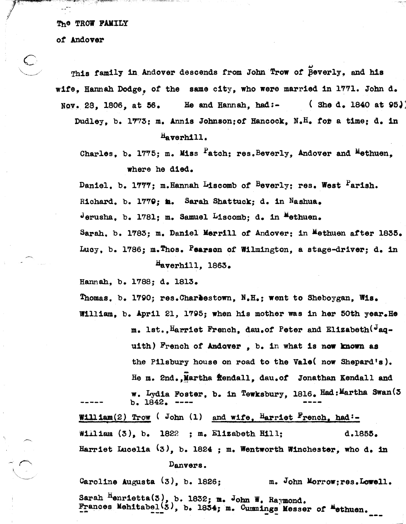The TROW FAMILY

*ot* Andover

 $\subset$ 

This family in Andover descends from John Trow of **Peverly**, and his wite, Hannan Dodge, of the same city, who were married in 1771. John d. , Nov. 28, 1806, at 56. He and Hannah, had:- (She d. 1840 at 95.) Dudley, b. 1773; m. Annis Johnson;ot Hancock, N.H. *tOD* a time: d. in

Haverhill.

Charles, b. 1775; m. Miss <sup>F</sup>atch; res.Beverly, Andover and Methuen. where he died.

Daniel. b. 1777; m.Hannah Liscomb of <sup>B</sup>everly; res. West <sup>F</sup>arish. Richard. b. 1779; in. Sarah Shattuck; d. in Nashua. Jerusha. b. 1781; m. Samuel Liscomb; d. in <sup>M</sup>ethuen. Sarah. b. 1783: m. Daniel Merrill of Andover: in Methuen after 1835. Lucy, b. 1786; m.Thos. Pearson of Wilmington, a stage-driver; d. in Haverhill, 1863.

Hannah, b. 1788; d. 1813.

Thomas. b. 1790; res.Charestown, N.H.; went to Sheboygan, Wis.

William, b. April 21, 1795; when his mother was in her 50th year. He m. 1st., Harriet French, dau.of Peter and Elizabeth<sup>(J</sup>aquith) French of Andover , b. in what is now known as the Pilsbury house on road to the Vale( now Shepard's). He m. 2nd., Martha fiendall, dau.of Jonathan Kendall and

w. Lydia Foster, b. in Tewksbury, 1816. Had: Martha Swan(3)  $b. 1842.$ William(2) Trow (John (1) and wife, Harriet French, had: William (3), b. 1822 ; m. Elizabeth Hill; d.1855. Harriet Luce1ia (3), b. 1824 : m. Wentworth Winchester, who d. in

## Danvers.

Caroline Augusta  $(3)$ , b. 1826; m. John Morrow; res. Lowell. Sarah Henrietta $(3)$ , b. 1832; m. John W. Raymond. Frances Mehitabel<sup>(3)</sup>, b. 1834; m. Cummings Messer of Methuen. ---